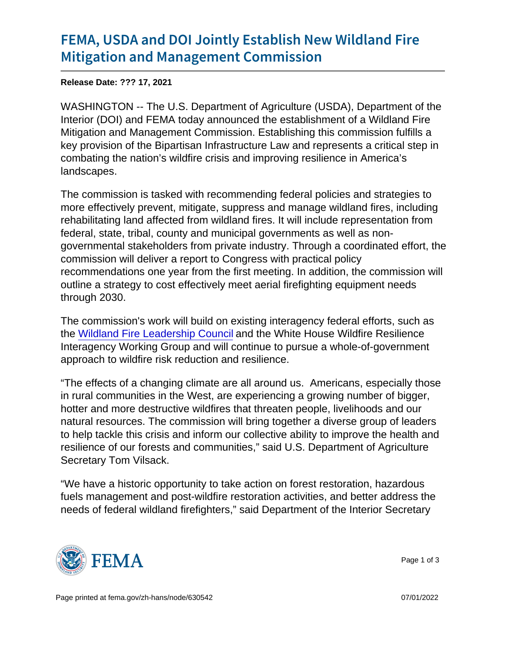## [FEMA, USDA and DOI Jointly Esta](https://www.fema.gov/press-release/20211217/fema-usda-and-doi-jointly-establish-new-wildland-fire-mitigation-and)blish Ne [Mitigation and Manageme](https://www.fema.gov/press-release/20211217/fema-usda-and-doi-jointly-establish-new-wildland-fire-mitigation-and)nt Commission

Release Date: ??? 17, 2021

WASHINGTON -- The U.S. Department of Agriculture (USDA), Department of the Interior (DOI) and FEMA today announced the establishment of a Wildland Fire Mitigation and Management Commission. Establishing this commission fulfills a key provision of the Bipartisan Infrastructure Law and represents a critical step in combating the nation's wildfire crisis and improving resilience in America's landscapes.

The commission is tasked with recommending federal policies and strategies to more effectively prevent, mitigate, suppress and manage wildland fires, including rehabilitating land affected from wildland fires. It will include representation from federal, state, tribal, county and municipal governments as well as nongovernmental stakeholders from private industry. Through a coordinated effort, the commission will deliver a report to Congress with practical policy recommendations one year from the first meeting. In addition, the commission will outline a strategy to cost effectively meet aerial firefighting equipment needs through 2030.

The commission's work will build on existing interagency federal efforts, such as the [Wildland Fire Leadership Council](https://www.forestsandrangelands.gov/leadership/) and the White House Wildfire Resilience Interagency Working Group and will continue to pursue a whole-of-government approach to wildfire risk reduction and resilience.

"The effects of a changing climate are all around us. Americans, especially those in rural communities in the West, are experiencing a growing number of bigger, hotter and more destructive wildfires that threaten people, livelihoods and our natural resources. The commission will bring together a diverse group of leaders to help tackle this crisis and inform our collective ability to improve the health and resilience of our forests and communities," said U.S. Department of Agriculture Secretary Tom Vilsack.

"We have a historic opportunity to take action on forest restoration, hazardous fuels management and post-wildfire restoration activities, and better address the needs of federal wildland firefighters," said Department of the Interior Secretary



Page 1 of 3

Page printed at [fema.gov/zh-hans/node/630542](https://www.fema.gov/zh-hans/node/630542) 07/01/2022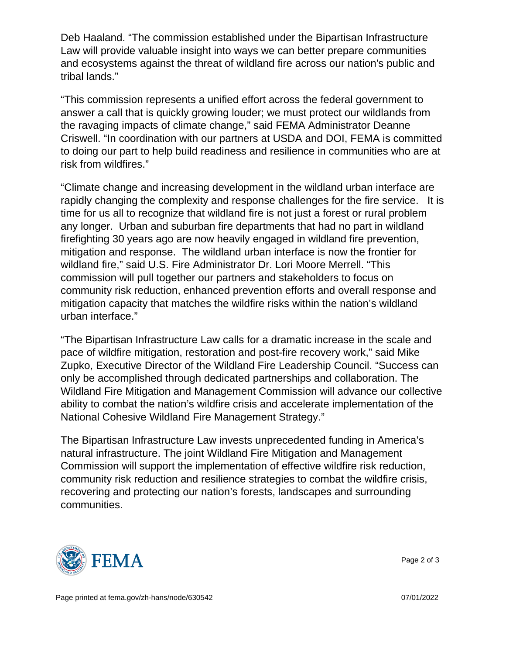Deb Haaland. "The commission established under the Bipartisan Infrastructure Law will provide valuable insight into ways we can better prepare communities and ecosystems against the threat of wildland fire across our nation's public and tribal lands."

"This commission represents a unified effort across the federal government to answer a call that is quickly growing louder; we must protect our wildlands from the ravaging impacts of climate change," said FEMA Administrator Deanne Criswell. "In coordination with our partners at USDA and DOI, FEMA is committed to doing our part to help build readiness and resilience in communities who are at risk from wildfires."

"Climate change and increasing development in the wildland urban interface are rapidly changing the complexity and response challenges for the fire service. It is time for us all to recognize that wildland fire is not just a forest or rural problem any longer. Urban and suburban fire departments that had no part in wildland firefighting 30 years ago are now heavily engaged in wildland fire prevention, mitigation and response. The wildland urban interface is now the frontier for wildland fire," said U.S. Fire Administrator Dr. Lori Moore Merrell. "This commission will pull together our partners and stakeholders to focus on community risk reduction, enhanced prevention efforts and overall response and mitigation capacity that matches the wildfire risks within the nation's wildland urban interface."

"The Bipartisan Infrastructure Law calls for a dramatic increase in the scale and pace of wildfire mitigation, restoration and post-fire recovery work," said Mike Zupko, Executive Director of the Wildland Fire Leadership Council. "Success can only be accomplished through dedicated partnerships and collaboration. The Wildland Fire Mitigation and Management Commission will advance our collective ability to combat the nation's wildfire crisis and accelerate implementation of the National Cohesive Wildland Fire Management Strategy."

The Bipartisan Infrastructure Law invests unprecedented funding in America's natural infrastructure. The joint Wildland Fire Mitigation and Management Commission will support the implementation of effective wildfire risk reduction, community risk reduction and resilience strategies to combat the wildfire crisis, recovering and protecting our nation's forests, landscapes and surrounding communities.



Page 2 of 3

Page printed at [fema.gov/zh-hans/node/630542](https://www.fema.gov/zh-hans/node/630542) 07/01/2022